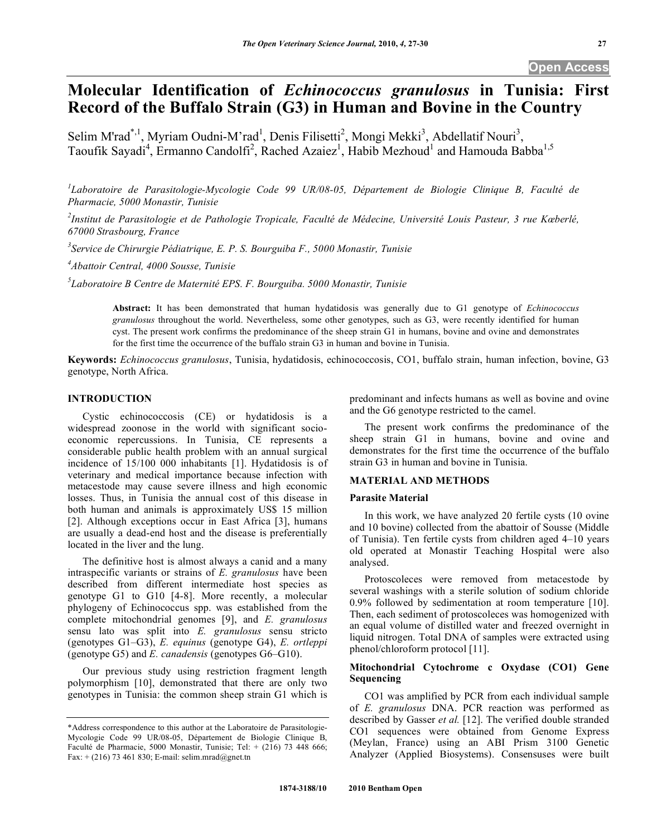# **Molecular Identification of** *Echinococcus granulosus* **in Tunisia: First Record of the Buffalo Strain (G3) in Human and Bovine in the Country**

Selim M'rad<sup>\*,1</sup>, Myriam Oudni-M'rad<sup>1</sup>, Denis Filisetti<sup>2</sup>, Mongi Mekki<sup>3</sup>, Abdellatif Nouri<sup>3</sup>, Taoufik Sayadi<sup>4</sup>, Ermanno Candolfi<sup>2</sup>, Rached Azaiez<sup>1</sup>, Habib Mezhoud<sup>1</sup> and Hamouda Babba<sup>1,5</sup>

<sup>1</sup>Laboratoire de Parasitologie-Mycologie Code 99 UR/08-05, Département de Biologie Clinique B, Faculté de *Pharmacie, 5000 Monastir, Tunisie* 

*2 Institut de Parasitologie et de Pathologie Tropicale, Faculté de Médecine, Université Louis Pasteur, 3 rue Kœberlé, 67000 Strasbourg, France* 

*3 Service de Chirurgie Pédiatrique, E. P. S. Bourguiba F., 5000 Monastir, Tunisie* 

*4 Abattoir Central, 4000 Sousse, Tunisie* 

*5 Laboratoire B Centre de Maternité EPS. F. Bourguiba. 5000 Monastir, Tunisie* 

**Abstract:** It has been demonstrated that human hydatidosis was generally due to G1 genotype of *Echinococcus granulosus* throughout the world. Nevertheless, some other genotypes, such as G3, were recently identified for human cyst. The present work confirms the predominance of the sheep strain G1 in humans, bovine and ovine and demonstrates for the first time the occurrence of the buffalo strain G3 in human and bovine in Tunisia.

**Keywords:** *Echinococcus granulosus*, Tunisia, hydatidosis, echinococcosis, CO1, buffalo strain, human infection, bovine, G3 genotype, North Africa.

### **INTRODUCTION**

 Cystic echinococcosis (CE) or hydatidosis is a widespread zoonose in the world with significant socioeconomic repercussions. In Tunisia, CE represents a considerable public health problem with an annual surgical incidence of 15/100 000 inhabitants [1]. Hydatidosis is of veterinary and medical importance because infection with metacestode may cause severe illness and high economic losses. Thus, in Tunisia the annual cost of this disease in both human and animals is approximately US\$ 15 million [2]. Although exceptions occur in East Africa [3], humans are usually a dead-end host and the disease is preferentially located in the liver and the lung.

 The definitive host is almost always a canid and a many intraspecific variants or strains of *E. granulosus* have been described from different intermediate host species as genotype G1 to G10 [4-8]. More recently, a molecular phylogeny of Echinococcus spp. was established from the complete mitochondrial genomes [9], and *E. granulosus* sensu lato was split into *E. granulosus* sensu stricto (genotypes G1–G3), *E. equinus* (genotype G4), *E. ortleppi* (genotype G5) and *E. canadensis* (genotypes G6–G10).

 Our previous study using restriction fragment length polymorphism [10], demonstrated that there are only two genotypes in Tunisia: the common sheep strain G1 which is predominant and infects humans as well as bovine and ovine and the G6 genotype restricted to the camel.

 The present work confirms the predominance of the sheep strain G1 in humans, bovine and ovine and demonstrates for the first time the occurrence of the buffalo strain G3 in human and bovine in Tunisia.

### **MATERIAL AND METHODS**

#### **Parasite Material**

 In this work, we have analyzed 20 fertile cysts (10 ovine and 10 bovine) collected from the abattoir of Sousse (Middle of Tunisia). Ten fertile cysts from children aged 4–10 years old operated at Monastir Teaching Hospital were also analysed.

 Protoscoleces were removed from metacestode by several washings with a sterile solution of sodium chloride 0.9% followed by sedimentation at room temperature [10]. Then, each sediment of protoscoleces was homogenized with an equal volume of distilled water and freezed overnight in liquid nitrogen. Total DNA of samples were extracted using phenol/chloroform protocol [11].

# **Mitochondrial Cytochrome c Oxydase (CO1) Gene Sequencing**

 CO1 was amplified by PCR from each individual sample of *E. granulosus* DNA. PCR reaction was performed as described by Gasser *et al.* [12]. The verified double stranded CO1 sequences were obtained from Genome Express (Meylan, France) using an ABI Prism 3100 Genetic Analyzer (Applied Biosystems). Consensuses were built

<sup>\*</sup>Address correspondence to this author at the Laboratoire de Parasitologie-Mycologie Code 99 UR/08-05, Département de Biologie Clinique B, Faculté de Pharmacie, 5000 Monastir, Tunisie; Tel: + (216) 73 448 666; Fax:  $+$  (216) 73 461 830; E-mail: selim.mrad@gnet.tn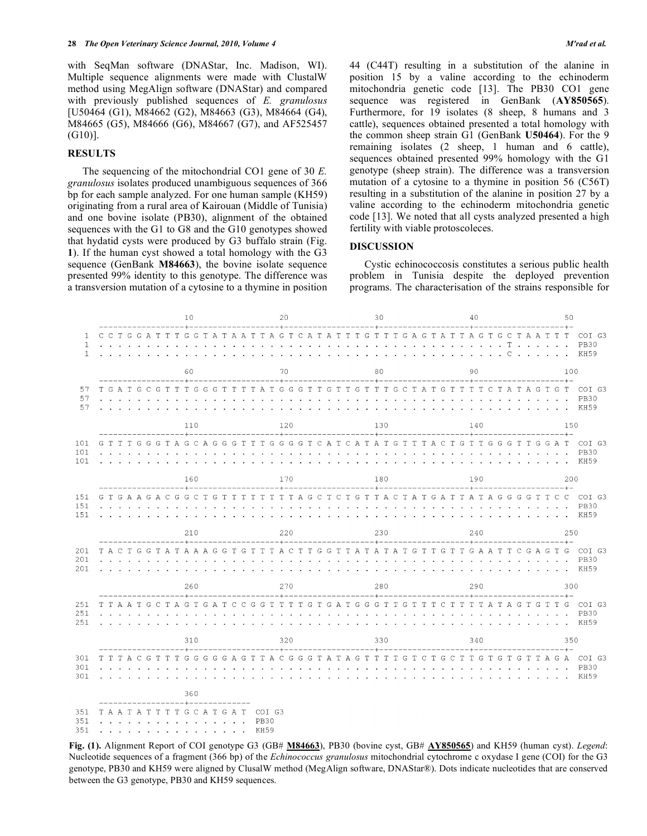with SeqMan software (DNAStar, Inc. Madison, WI). Multiple sequence alignments were made with ClustalW method using MegAlign software (DNAStar) and compared with previously published sequences of *E. granulosus* [U50464 (G1), M84662 (G2), M84663 (G3), M84664 (G4), M84665 (G5), M84666 (G6), M84667 (G7), and AF525457 (G10)].

#### **RESULTS**

 The sequencing of the mitochondrial CO1 gene of 30 *E. granulosus* isolates produced unambiguous sequences of 366 bp for each sample analyzed. For one human sample (KH59) originating from a rural area of Kairouan (Middle of Tunisia) and one bovine isolate (PB30), alignment of the obtained sequences with the G1 to G8 and the G10 genotypes showed that hydatid cysts were produced by G3 buffalo strain (Fig. **1**). If the human cyst showed a total homology with the G3 sequence (GenBank **M84663**), the bovine isolate sequence presented 99% identity to this genotype. The difference was a transversion mutation of a cytosine to a thymine in position 44 (C44T) resulting in a substitution of the alanine in position 15 by a valine according to the echinoderm mitochondria genetic code [13]. The PB30 CO1 gene sequence was registered in GenBank (**AY850565**). Furthermore, for 19 isolates (8 sheep, 8 humans and 3 cattle), sequences obtained presented a total homology with the common sheep strain G1 (GenBank **U50464**). For the 9 remaining isolates (2 sheep, 1 human and 6 cattle), sequences obtained presented 99% homology with the G1 genotype (sheep strain). The difference was a transversion mutation of a cytosine to a thymine in position 56 (C56T) resulting in a substitution of the alanine in position 27 by a valine according to the echinoderm mitochondria genetic code [13]. We noted that all cysts analyzed presented a high fertility with viable protoscoleces.

## **DISCUSSION**

 Cystic echinococcosis constitutes a serious public health problem in Tunisia despite the deployed prevention programs. The characterisation of the strains responsible for

|                        |     |                                    |  |  |       |                      |                                                                                                                                                                                                                                      |    | 10                                                                                                                                                                                                                                                         |                             |     |        |                                                  |               |                                                                 | 20            |                     |        |                                              |    |  |                                                                 |        | 30 |        |        |               |                                                                                                                                                                                                                                                                                                           |        |              |                |                                 | 40     |                      |        |                             |                      |                |                                                                                                 |                                |              | 50     |                                           |                        |                    |                          |                               |
|------------------------|-----|------------------------------------|--|--|-------|----------------------|--------------------------------------------------------------------------------------------------------------------------------------------------------------------------------------------------------------------------------------|----|------------------------------------------------------------------------------------------------------------------------------------------------------------------------------------------------------------------------------------------------------------|-----------------------------|-----|--------|--------------------------------------------------|---------------|-----------------------------------------------------------------|---------------|---------------------|--------|----------------------------------------------|----|--|-----------------------------------------------------------------|--------|----|--------|--------|---------------|-----------------------------------------------------------------------------------------------------------------------------------------------------------------------------------------------------------------------------------------------------------------------------------------------------------|--------|--------------|----------------|---------------------------------|--------|----------------------|--------|-----------------------------|----------------------|----------------|-------------------------------------------------------------------------------------------------|--------------------------------|--------------|--------|-------------------------------------------|------------------------|--------------------|--------------------------|-------------------------------|
| $\mathbf{1}$<br>1<br>1 |     |                                    |  |  |       |                      | CCTGGATT                                                                                                                                                                                                                             | T  |                                                                                                                                                                                                                                                            |                             |     | $\sim$ |                                                  |               | $\cdot$ $\cdot$ $\cdot$ $\cdot$ $\cdot$ $\cdot$ $\cdot$         |               |                     |        | $\sim$ $\sim$ $\sim$                         |    |  |                                                                 |        |    |        |        |               | G G T A T A A T T A G T C A T A T T T G T T T G A G T A T T T A G T G C T A A T<br>.                                                                                                                                                                                                                      |        |              |                |                                 |        |                      |        | $\sim$                      | $\sim$               | $\sim$         | $\sim$                                                                                          | T                              | $\mathbf{r}$ | $\sim$ | $\sim$ $\sim$ $\sim$ $\sim$ $\sim$ $\sim$ |                        | T<br>$\sim$ $\sim$ | T                        | COI G3<br><b>PB30</b><br>KH59 |
|                        | 60  |                                    |  |  |       |                      |                                                                                                                                                                                                                                      | 70 |                                                                                                                                                                                                                                                            |                             |     |        |                                                  |               |                                                                 | 80            |                     |        |                                              |    |  |                                                                 |        |    | 90     |        |               |                                                                                                                                                                                                                                                                                                           |        |              |                |                                 | 100    |                      |        |                             |                      |                |                                                                                                 |                                |              |        |                                           |                        |                    |                          |                               |
| 57<br>57<br>57         |     | $\mathbf{L}^{\text{max}}$          |  |  |       |                      | TGATGCGTT<br>$\mathbf{r}$ and $\mathbf{r}$ and $\mathbf{r}$ and $\mathbf{r}$<br>o.                                                                                                                                                   |    | $---+----$<br>×.                                                                                                                                                                                                                                           |                             |     | $\sim$ | $\sim$ $\sim$                                    | $\sim$        | $\sim$<br>$\sim$                                                | $\sim$ $\sim$ | and the control     | $\sim$ | $\sim$ $\sim$ $\sim$<br>$\sim$ $\sim$ $\sim$ |    |  | $\sim$ $\sim$<br>$\sim$                                         | $\sim$ |    |        |        |               | TGGGTTTTATGGGTTGTTGTTTGCTATGTTTTCTATAGTG<br>$\mathbf{r}$ . The set of the set of the set of the set of the set of the set of the set of the set of the set of the set of the set of the set of the set of the set of the set of the set of the set of the set of the set of t<br>and a state of the state | $\sim$ | s.           | $\sim$<br>s.   | $\sim$<br><b>Service</b>        | $\sim$ | $\sim$ $\sim$ $\sim$ |        | $\sim$ $\sim$ $\sim$ $\sim$ | $\sim$ $\sim$ $\sim$ | <b>Service</b> |                                                                                                 |                                |              |        |                                           |                        |                    | T<br>o.                  | COI G3<br><b>PB30</b><br>KH59 |
|                        | 110 |                                    |  |  |       |                      |                                                                                                                                                                                                                                      |    |                                                                                                                                                                                                                                                            |                             | 120 |        |                                                  |               |                                                                 |               |                     |        | 130                                          |    |  |                                                                 |        |    |        |        |               | 140                                                                                                                                                                                                                                                                                                       |        |              |                |                                 |        |                      |        |                             | 150                  |                |                                                                                                 |                                |              |        |                                           |                        |                    |                          |                               |
| 101<br>101<br>101      |     | G T T                              |  |  | T G G | and the control      | G                                                                                                                                                                                                                                    |    | T A G                                                                                                                                                                                                                                                      | $\mathbb{C}$                |     |        | AGGGT                                            | $\sim$ $\sim$ |                                                                 | T             |                     | $\sim$ | ------+----<br>$\sim$ $\sim$ $\sim$          |    |  |                                                                 |        |    |        |        | $\sim$        | TGGGGTCATCATATG<br>$\sim$                                                                                                                                                                                                                                                                                 |        |              |                | T T T A C                       |        |                      |        |                             |                      |                | T G T T G G G T T G<br>$\mathbf{r}$ , $\mathbf{r}$ , $\mathbf{r}$ , $\mathbf{r}$ , $\mathbf{r}$ |                                |              |        |                                           | $----++-$<br>G         | A T                |                          | COI G3<br><b>PB30</b><br>KH59 |
|                        | 160 |                                    |  |  |       |                      |                                                                                                                                                                                                                                      |    |                                                                                                                                                                                                                                                            | 170                         |     |        |                                                  |               |                                                                 |               |                     | 180    |                                              |    |  |                                                                 |        |    |        |        | 190           |                                                                                                                                                                                                                                                                                                           |        |              |                |                                 |        |                      |        | 200                         |                      |                |                                                                                                 |                                |              |        |                                           |                        |                    |                          |                               |
| 151<br>151<br>151      |     | $\mathbf{r}=\mathbf{r}+\mathbf{r}$ |  |  |       | $\sim$ $\sim$ $\sim$ | GTGAAGACG<br>$\sim$                                                                                                                                                                                                                  |    | $\cdot$ $\cdot$ $\cdot$                                                                                                                                                                                                                                    | <b>State Street</b>         |     |        |                                                  |               |                                                                 |               |                     |        |                                              |    |  |                                                                 |        |    |        |        |               | GCTGTTTTTTTTAGCTCTGTTACTATGATTATAGGGGT                                                                                                                                                                                                                                                                    |        |              |                |                                 |        |                      | $\sim$ |                             |                      | $\sim$         |                                                                                                 | and the company of the company |              |        |                                           | T C<br>and the control |                    | $\overline{C}$<br>$\sim$ | COI G3<br><b>PB30</b><br>KH59 |
|                        | 210 |                                    |  |  |       |                      |                                                                                                                                                                                                                                      |    |                                                                                                                                                                                                                                                            |                             | 220 |        |                                                  |               |                                                                 |               |                     |        | 230                                          |    |  |                                                                 |        |    |        |        |               | 240                                                                                                                                                                                                                                                                                                       |        |              |                |                                 |        |                      |        | 250                         |                      |                |                                                                                                 |                                |              |        |                                           |                        |                    |                          |                               |
| 201<br>201<br>201      |     |                                    |  |  |       |                      | $\mathbf{r}$ and $\mathbf{r}$ are the set of the set of the set of the set of the set of the set of the set of the set of the set of the set of the set of the set of the set of the set of the set of the set of the set of the set |    | $\sim$                                                                                                                                                                                                                                                     |                             |     |        |                                                  |               | $\mathbf{L}$ and $\mathbf{L}$ and $\mathbf{L}$ and $\mathbf{L}$ |               |                     | s.     |                                              |    |  | $\mathbf{r}$ and $\mathbf{r}$ and $\mathbf{r}$ and $\mathbf{r}$ |        |    |        | $\sim$ |               | TACTGGTATAAAGGTGTTTACTTGGTTATATATGTTGTTGAATTCGAGTG<br>de la característica de la característica de la característica de la característica de la característica de la                                                                                                                                      |        |              |                | and a state of the state of the |        |                      |        |                             |                      |                |                                                                                                 | and a state of the             |              |        |                                           |                        |                    |                          | COI G3<br><b>PB30</b><br>KH59 |
|                        | 260 |                                    |  |  |       |                      |                                                                                                                                                                                                                                      |    |                                                                                                                                                                                                                                                            | 270                         |     |        |                                                  |               |                                                                 |               |                     |        | 280                                          |    |  |                                                                 |        |    |        |        |               | 290                                                                                                                                                                                                                                                                                                       |        |              |                |                                 |        |                      |        |                             | 300                  |                |                                                                                                 |                                |              |        |                                           |                        |                    |                          |                               |
| 251<br>251<br>251      |     |                                    |  |  |       | $\sim$ $\sim$ $\sim$ |                                                                                                                                                                                                                                      |    | T T A A T G C T A G T<br>$\mathbf{r}$ . The set of the set of the set of the set of the set of the set of the set of the set of the set of the set of the set of the set of the set of the set of the set of the set of the set of the set of the set of t |                             |     |        |                                                  | $\sim$ $\sim$ |                                                                 | $\sim$ $\sim$ |                     | $\sim$ |                                              | i. |  | s.                                                              | $\sim$ |    | $\sim$ | $\sim$ | $\sim$ $\sim$ | GATCCGGTTTTGTGATGGGTTGTTTCTT<br>$\sim$<br>.                                                                                                                                                                                                                                                               |        | $\mathbf{r}$ | $\sim 10^{-1}$ |                                 |        |                      | $\sim$ |                             |                      | <b>Service</b> | TTATAGTG                                                                                        |                                |              |        |                                           |                        | T G                | $\sim$                   | COI G3<br><b>PB30</b><br>KH59 |
|                        | 310 |                                    |  |  |       |                      |                                                                                                                                                                                                                                      |    |                                                                                                                                                                                                                                                            | 320                         |     |        |                                                  |               |                                                                 |               |                     | 330    |                                              |    |  |                                                                 |        |    |        | 340    |               |                                                                                                                                                                                                                                                                                                           |        |              |                |                                 |        |                      | 350    |                             |                      |                |                                                                                                 |                                |              |        |                                           |                        |                    |                          |                               |
| 301<br>301<br>301      |     |                                    |  |  |       |                      | тттассттт<br>$\sim$                                                                                                                                                                                                                  |    | $\sim$ $\sim$ $\sim$                                                                                                                                                                                                                                       | $\sim$ $\sim$ $\sim$<br>360 |     |        | <b>Contract Contract</b><br>$\sim$ $\sim$ $\sim$ |               |                                                                 |               |                     |        |                                              |    |  |                                                                 |        |    |        |        |               | G G G G G A G T T A C G G G T A T A G T T T T G T G C C T T G T G T G T T A G A<br><u>. In the second contract of the second contract of the second contract of the second</u>                                                                                                                            |        |              |                |                                 |        |                      |        |                             |                      |                |                                                                                                 |                                |              |        |                                           |                        |                    | $\mathbf{r}$             | COT G3<br><b>PB30</b><br>KH59 |
| 351<br>351<br>351      |     |                                    |  |  |       |                      |                                                                                                                                                                                                                                      |    | ------------+-------------<br>TAATATTTTGCATGAT COIG3<br>$\frac{1}{2}$ , $\frac{1}{2}$ , $\frac{1}{2}$ , $\frac{1}{2}$ , $\frac{1}{2}$ , $\frac{1}{2}$ , $\frac{1}{2}$ , $\frac{1}{2}$ , $\frac{1}{2}$ , $\frac{1}{2}$                                      |                             |     |        |                                                  |               |                                                                 |               | <b>PB30</b><br>KH59 |        |                                              |    |  |                                                                 |        |    |        |        |               |                                                                                                                                                                                                                                                                                                           |        |              |                |                                 |        |                      |        |                             |                      |                |                                                                                                 |                                |              |        |                                           |                        |                    |                          |                               |

**Fig. (1).** Alignment Report of COI genotype G3 (GB# **M84663**), PB30 (bovine cyst, GB# **AY850565**) and KH59 (human cyst). *Legend*: Nucleotide sequences of a fragment (366 bp) of the *Echinococcus granulosus* mitochondrial cytochrome c oxydase I gene (COI) for the G3 genotype, PB30 and KH59 were aligned by ClusalW method (MegAlign software, DNAStar®). Dots indicate nucleotides that are conserved between the G3 genotype, PB30 and KH59 sequences.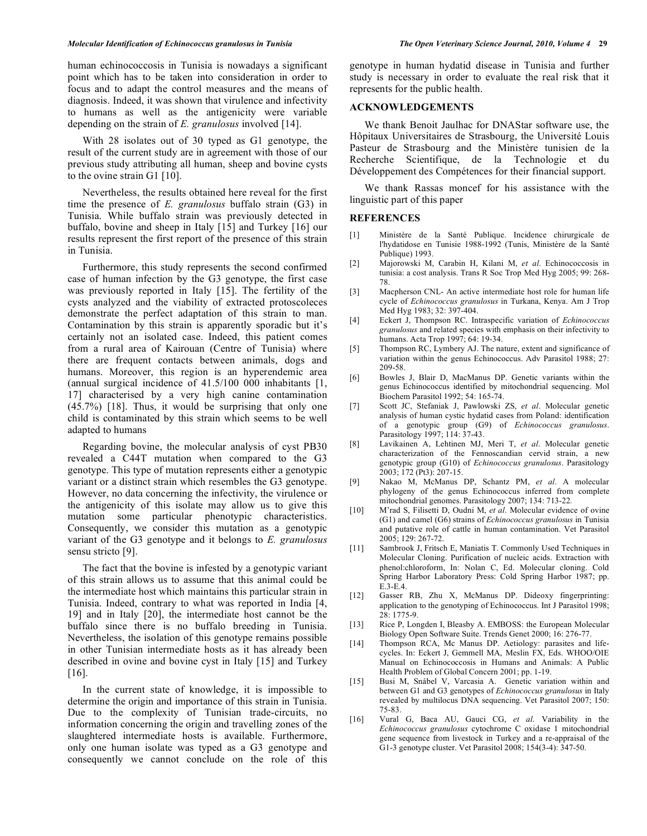human echinococcosis in Tunisia is nowadays a significant point which has to be taken into consideration in order to focus and to adapt the control measures and the means of diagnosis. Indeed, it was shown that virulence and infectivity to humans as well as the antigenicity were variable depending on the strain of *E. granulosus* involved [14].

 With 28 isolates out of 30 typed as G1 genotype, the result of the current study are in agreement with those of our previous study attributing all human, sheep and bovine cysts to the ovine strain G1 [10].

 Nevertheless, the results obtained here reveal for the first time the presence of *E. granulosus* buffalo strain (G3) in Tunisia. While buffalo strain was previously detected in buffalo, bovine and sheep in Italy [15] and Turkey [16] our results represent the first report of the presence of this strain in Tunisia.

 Furthermore, this study represents the second confirmed case of human infection by the G3 genotype, the first case was previously reported in Italy [15]. The fertility of the cysts analyzed and the viability of extracted protoscoleces demonstrate the perfect adaptation of this strain to man. Contamination by this strain is apparently sporadic but it's certainly not an isolated case. Indeed, this patient comes from a rural area of Kairouan (Centre of Tunisia) where there are frequent contacts between animals, dogs and humans. Moreover, this region is an hyperendemic area (annual surgical incidence of 41.5/100 000 inhabitants [1, 17] characterised by a very high canine contamination (45.7%) [18]. Thus, it would be surprising that only one child is contaminated by this strain which seems to be well adapted to humans

 Regarding bovine, the molecular analysis of cyst PB30 revealed a C44T mutation when compared to the G3 genotype. This type of mutation represents either a genotypic variant or a distinct strain which resembles the G3 genotype. However, no data concerning the infectivity, the virulence or the antigenicity of this isolate may allow us to give this mutation some particular phenotypic characteristics. Consequently, we consider this mutation as a genotypic variant of the G3 genotype and it belongs to *E. granulosus* sensu stricto [9].

 The fact that the bovine is infested by a genotypic variant of this strain allows us to assume that this animal could be the intermediate host which maintains this particular strain in Tunisia. Indeed, contrary to what was reported in India [4, 19] and in Italy [20], the intermediate host cannot be the buffalo since there is no buffalo breeding in Tunisia. Nevertheless, the isolation of this genotype remains possible in other Tunisian intermediate hosts as it has already been described in ovine and bovine cyst in Italy [15] and Turkey [16].

 In the current state of knowledge, it is impossible to determine the origin and importance of this strain in Tunisia. Due to the complexity of Tunisian trade-circuits, no information concerning the origin and travelling zones of the slaughtered intermediate hosts is available. Furthermore, only one human isolate was typed as a G3 genotype and consequently we cannot conclude on the role of this genotype in human hydatid disease in Tunisia and further study is necessary in order to evaluate the real risk that it represents for the public health.

### **ACKNOWLEDGEMENTS**

 We thank Benoit Jaulhac for DNAStar software use, the Hôpitaux Universitaires de Strasbourg, the Université Louis Pasteur de Strasbourg and the Ministère tunisien de la Recherche Scientifique, de la Technologie et du Développement des Compétences for their financial support.

 We thank Rassas moncef for his assistance with the linguistic part of this paper

#### **REFERENCES**

- [1] Ministère de la Santé Publique. Incidence chirurgicale de l'hydatidose en Tunisie 1988-1992 (Tunis, Ministère de la Santé Publique) 1993.
- [2] Majorowski M, Carabin H, Kilani M, *et al*. Echinococcosis in tunisia: a cost analysis. Trans R Soc Trop Med Hyg 2005; 99: 268- 78.
- [3] Macpherson CNL- An active intermediate host role for human life cycle of *Echinococcus granulosus* in Turkana, Kenya. Am J Trop Med Hyg 1983; 32: 397-404.
- [4] Eckert J, Thompson RC. Intraspecific variation of *Echinococcus granulosus* and related species with emphasis on their infectivity to humans. Acta Trop 1997; 64: 19-34.
- [5] Thompson RC, Lymbery AJ. The nature, extent and significance of variation within the genus Echinococcus. Adv Parasitol 1988; 27: 209-58.
- [6] Bowles J, Blair D, MacManus DP. Genetic variants within the genus Echinococcus identified by mitochondrial sequencing. Mol Biochem Parasitol 1992; 54: 165-74.
- [7] Scott JC, Stefaniak J, Pawlowski ZS, *et al*. Molecular genetic analysis of human cystic hydatid cases from Poland: identification of a genotypic group (G9) of *Echinococcus granulosus*. Parasitology 1997; 114: 37-43.
- [8] Lavikainen A, Lehtinen MJ, Meri T, *et al*. Molecular genetic characterization of the Fennoscandian cervid strain, a new genotypic group (G10) of *Echinococcus granulosus*. Parasitology 2003; 172 (Pt3): 207-15.
- [9] Nakao M, McManus DP, Schantz PM, *et al*. A molecular phylogeny of the genus Echinococcus inferred from complete mitochondrial genomes. Parasitology 2007; 134: 713-22.
- [10] M'rad S, Filisetti D, Oudni M, *et al*. Molecular evidence of ovine (G1) and camel (G6) strains of *Echinococcus granulosus* in Tunisia and putative role of cattle in human contamination. Vet Parasitol  $2005: 129: 267-72.$
- [11] Sambrook J, Fritsch E, Maniatis T. Commonly Used Techniques in Molecular Cloning. Purification of nucleic acids. Extraction with phenol:chloroform, In: Nolan C, Ed. Molecular cloning. Cold Spring Harbor Laboratory Press: Cold Spring Harbor 1987; pp. E.3-E.4.
- [12] Gasser RB, Zhu X, McManus DP. Dideoxy fingerprinting: application to the genotyping of Echinococcus. Int J Parasitol 1998; 28: 1775-9.
- [13] Rice P, Longden I, Bleasby A. EMBOSS: the European Molecular Biology Open Software Suite. Trends Genet 2000; 16: 276-77.
- [14] Thompson RCA, Mc Manus DP. Aetiology: parasites and lifecycles. In: Eckert J, Gemmell MA, Meslin FX, Eds. WHOO/OIE Manual on Echinococcosis in Humans and Animals: A Public Health Problem of Global Concern 2001; pp. 1-19.
- [15] Busi M, Snábel V, Varcasia A. Genetic variation within and between G1 and G3 genotypes of *Echinococcus granulosus* in Italy revealed by multilocus DNA sequencing. Vet Parasitol 2007; 150: 75-83.
- [16] Vural G, Baca AU, Gauci CG, *et al*. Variability in the *Echinococcus granulosus* cytochrome C oxidase 1 mitochondrial gene sequence from livestock in Turkey and a re-appraisal of the G1-3 genotype cluster. Vet Parasitol 2008; 154(3-4): 347-50.